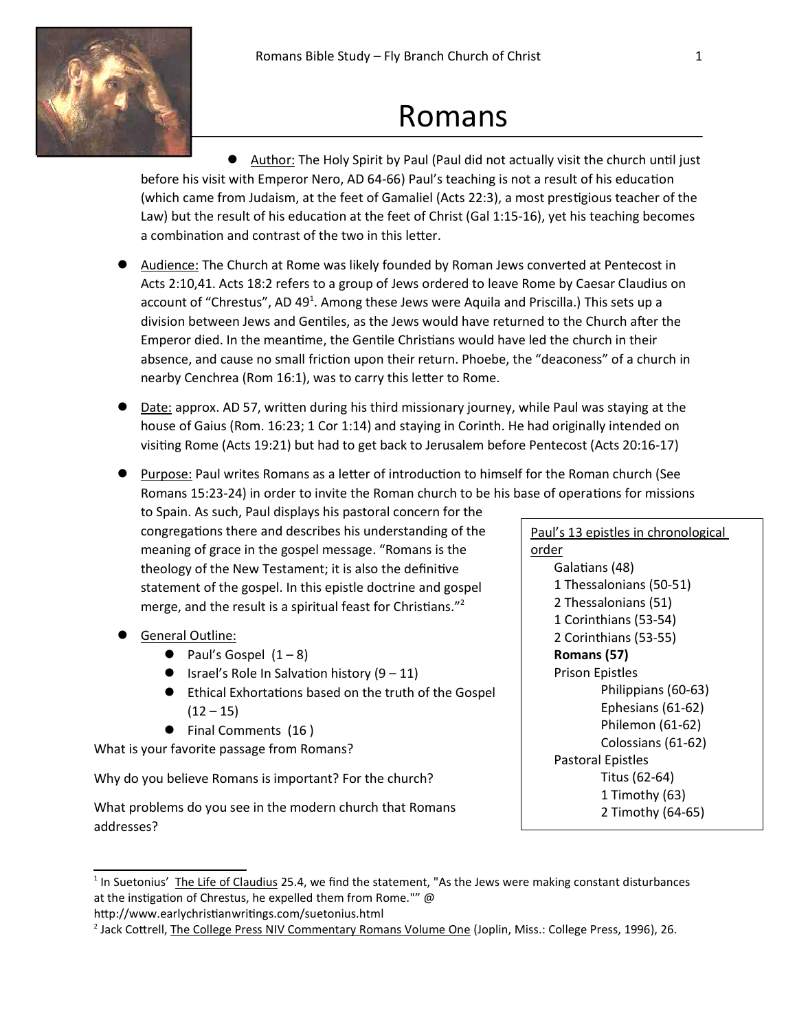

# Romans

• Author: The Holy Spirit by Paul (Paul did not actually visit the church until just before his visit with Emperor Nero, AD 64-66) Paul's teaching is not a result of his education (which came from Judaism, at the feet of Gamaliel (Acts 22:3), a most prestigious teacher of the Law) but the result of his education at the feet of Christ (Gal 1:15-16), yet his teaching becomes a combination and contrast of the two in this letter.

- Audience: The Church at Rome was likely founded by Roman Jews converted at Pentecost in Acts 2:10,41. Acts 18:2 refers to a group of Jews ordered to leave Rome by Caesar Claudius on account of "Chrestus", AD 49<sup>1</sup>. Among these Jews were Aquila and Priscilla.) This sets up a division between Jews and Gentiles, as the Jews would have returned to the Church after the Emperor died. In the meantime, the Gentile Christians would have led the church in their absence, and cause no small friction upon their return. Phoebe, the "deaconess" of a church in nearby Cenchrea (Rom 16:1), was to carry this letter to Rome.
- Date: approx. AD 57, written during his third missionary journey, while Paul was staying at the house of Gaius (Rom. 16:23; 1 Cor 1:14) and staying in Corinth. He had originally intended on visiting Rome (Acts 19:21) but had to get back to Jerusalem before Pentecost (Acts 20:16-17)
- Purpose: Paul writes Romans as a letter of introduction to himself for the Roman church (See Romans 15:23-24) in order to invite the Roman church to be his base of operations for missions

to Spain. As such, Paul displays his pastoral concern for the congregations there and describes his understanding of the meaning of grace in the gospel message. "Romans is the theology of the New Testament; it is also the definitive statement of the gospel. In this epistle doctrine and gospel merge, and the result is a spiritual feast for Christians."<sup>2</sup>

- General Outline:
	- Paul's Gospel  $(1-8)$
	- Israel's Role In Salvation history  $(9 11)$
	- Ethical Exhortations based on the truth of the Gospel  $(12 - 15)$
	- Final Comments (16)

What is your favorite passage from Romans?

Why do you believe Romans is important? For the church?

What problems do you see in the modern church that Romans addresses?

Paul's 13 epistles in chronological order Galatians (48) 1 Thessalonians (50-51) 2 Thessalonians (51) 1 Corinthians (53-54) 2 Corinthians (53-55) Romans (57) Prison Epistles Philippians (60-63) Ephesians (61-62) Philemon (61-62) Colossians (61-62) Pastoral Epistles Titus (62-64) 1 Timothy (63) 2 Timothy (64-65)

http://www.earlychristianwritings.com/suetonius.html

<sup>&</sup>lt;sup>1</sup> In Suetonius' The Life of Claudius 25.4, we find the statement, "As the Jews were making constant disturbances at the instigation of Chrestus, he expelled them from Rome."" @

<sup>&</sup>lt;sup>2</sup> Jack Cottrell, The College Press NIV Commentary Romans Volume One (Joplin, Miss.: College Press, 1996), 26.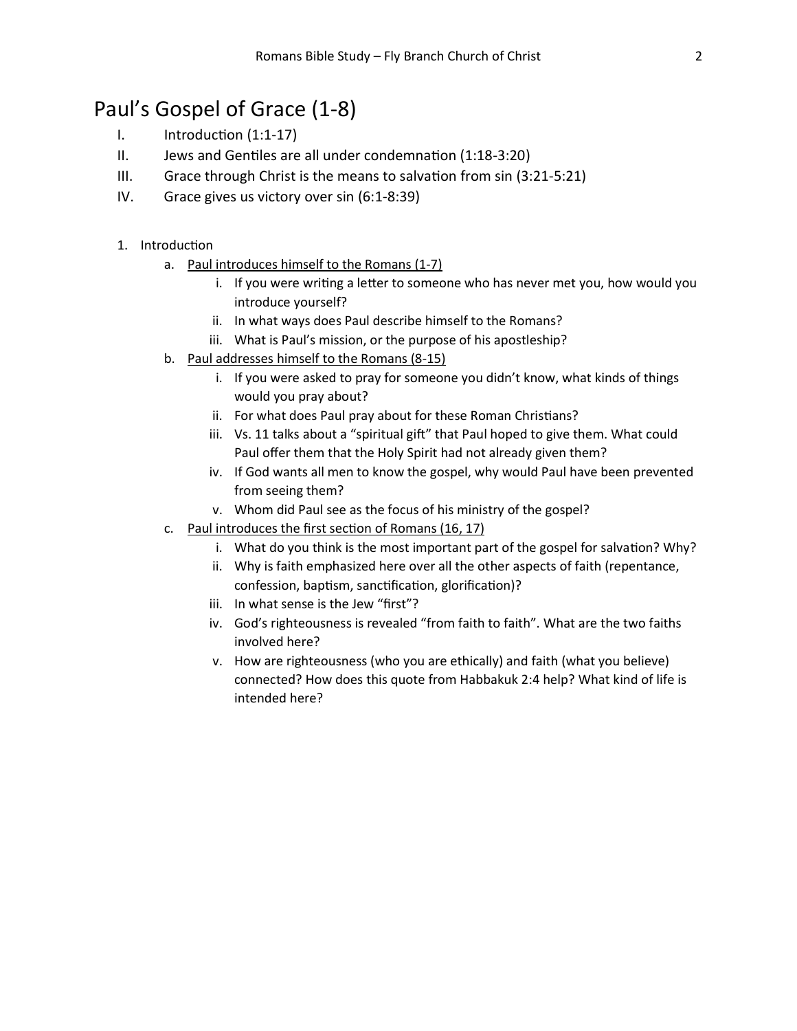## Paul's Gospel of Grace (1-8)

- $I.$  Introduction  $(1:1-17)$
- II. Jews and Gentiles are all under condemnation (1:18-3:20)
- III. Grace through Christ is the means to salvation from sin  $(3:21-5:21)$
- IV. Grace gives us victory over sin (6:1-8:39)

## 1. Introduction

- a. Paul introduces himself to the Romans (1-7)
	- i. If you were writing a letter to someone who has never met you, how would you introduce yourself?
	- ii. In what ways does Paul describe himself to the Romans?
	- iii. What is Paul's mission, or the purpose of his apostleship?
- b. Paul addresses himself to the Romans (8-15)
	- i. If you were asked to pray for someone you didn't know, what kinds of things would you pray about?
	- ii. For what does Paul pray about for these Roman Christians?
	- iii. Vs. 11 talks about a "spiritual gift" that Paul hoped to give them. What could Paul offer them that the Holy Spirit had not already given them?
	- iv. If God wants all men to know the gospel, why would Paul have been prevented from seeing them?
	- v. Whom did Paul see as the focus of his ministry of the gospel?
- c. Paul introduces the first section of Romans (16, 17)
	- i. What do you think is the most important part of the gospel for salvation? Why?
	- ii. Why is faith emphasized here over all the other aspects of faith (repentance, confession, baptism, sanctification, glorification)?
	- iii. In what sense is the Jew "first"?
	- iv. God's righteousness is revealed "from faith to faith". What are the two faiths involved here?
	- v. How are righteousness (who you are ethically) and faith (what you believe) connected? How does this quote from Habbakuk 2:4 help? What kind of life is intended here?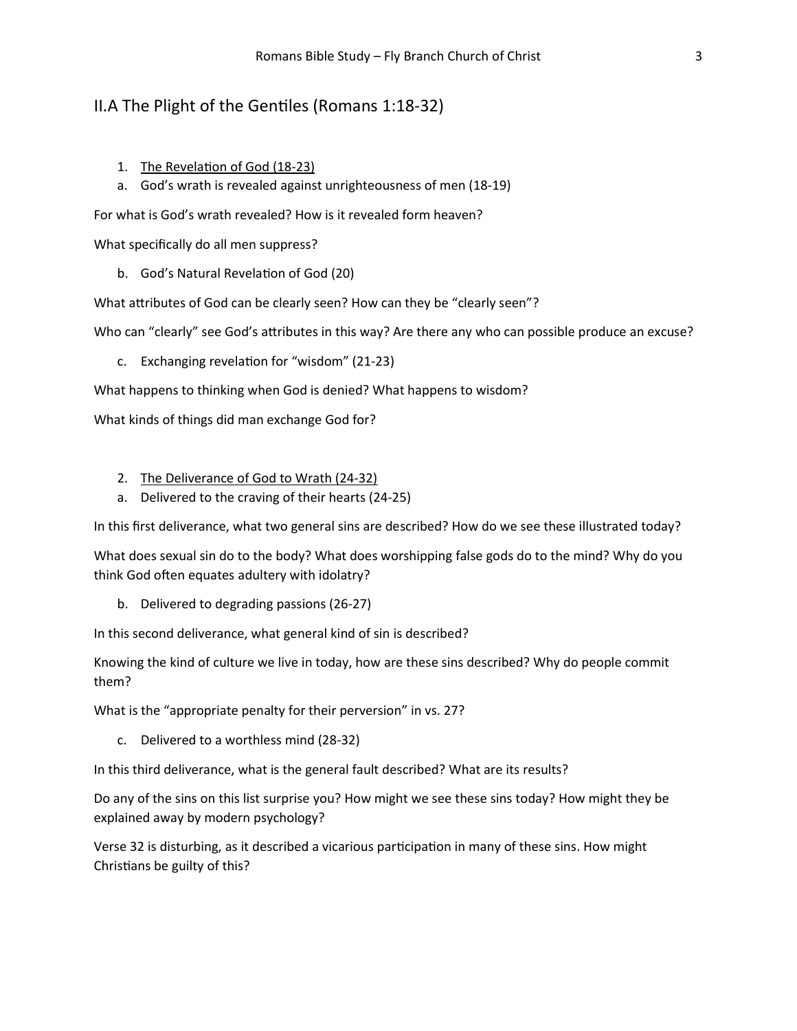## II.A The Plight of the Gentiles (Romans 1:18-32)

- 1. The Revelation of God (18-23)
- a. God's wrath is revealed against unrighteousness of men (18-19)

For what is God's wrath revealed? How is it revealed form heaven?

What specifically do all men suppress?

b. God's Natural Revelation of God (20)

What attributes of God can be clearly seen? How can they be "clearly seen"?

Who can "clearly" see God's attributes in this way? Are there any who can possible produce an excuse?

c. Exchanging revelation for "wisdom" (21-23)

What happens to thinking when God is denied? What happens to wisdom?

What kinds of things did man exchange God for?

- 2. The Deliverance of God to Wrath (24-32)
- a. Delivered to the craving of their hearts (24-25)

In this first deliverance, what two general sins are described? How do we see these illustrated today?

What does sexual sin do to the body? What does worshipping false gods do to the mind? Why do you think God often equates adultery with idolatry?

b. Delivered to degrading passions (26-27)

In this second deliverance, what general kind of sin is described?

Knowing the kind of culture we live in today, how are these sins described? Why do people commit them?

What is the "appropriate penalty for their perversion" in vs. 27?

c. Delivered to a worthless mind (28-32)

In this third deliverance, what is the general fault described? What are its results?

Do any of the sins on this list surprise you? How might we see these sins today? How might they be explained away by modern psychology?

Verse 32 is disturbing, as it described a vicarious participation in many of these sins. How might Christians be guilty of this?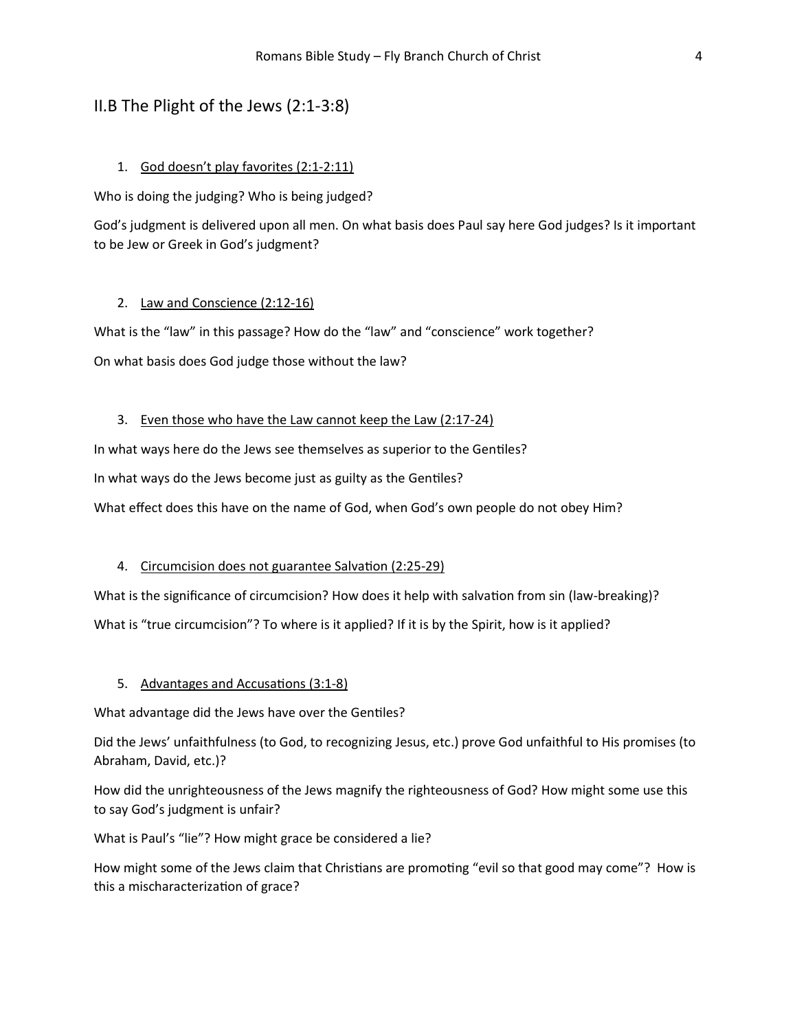## II.B The Plight of the Jews (2:1-3:8)

#### 1. God doesn't play favorites (2:1-2:11)

Who is doing the judging? Who is being judged?

God's judgment is delivered upon all men. On what basis does Paul say here God judges? Is it important to be Jew or Greek in God's judgment?

#### 2. Law and Conscience (2:12-16)

What is the "law" in this passage? How do the "law" and "conscience" work together? On what basis does God judge those without the law?

#### 3. Even those who have the Law cannot keep the Law (2:17-24)

In what ways here do the Jews see themselves as superior to the Gentiles?

In what ways do the Jews become just as guilty as the Gentiles?

What effect does this have on the name of God, when God's own people do not obey Him?

#### 4. Circumcision does not guarantee Salvation (2:25-29)

What is the significance of circumcision? How does it help with salvation from sin (law-breaking)?

What is "true circumcision"? To where is it applied? If it is by the Spirit, how is it applied?

#### 5. Advantages and Accusations (3:1-8)

What advantage did the Jews have over the Gentiles?

Did the Jews' unfaithfulness (to God, to recognizing Jesus, etc.) prove God unfaithful to His promises (to Abraham, David, etc.)?

How did the unrighteousness of the Jews magnify the righteousness of God? How might some use this to say God's judgment is unfair?

What is Paul's "lie"? How might grace be considered a lie?

How might some of the Jews claim that Christians are promoting "evil so that good may come"? How is this a mischaracterization of grace?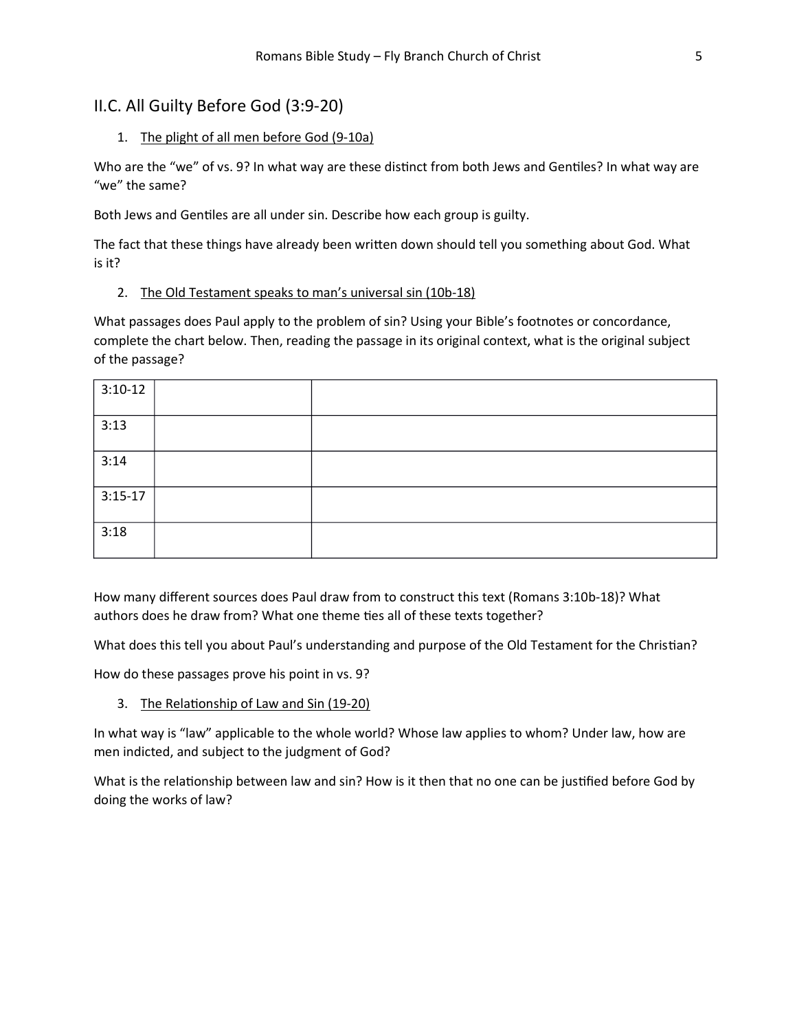## II.C. All Guilty Before God (3:9-20)

## 1. The plight of all men before God (9-10a)

Who are the "we" of vs. 9? In what way are these distinct from both Jews and Gentiles? In what way are "we" the same?

Both Jews and Gentiles are all under sin. Describe how each group is guilty.

The fact that these things have already been written down should tell you something about God. What is it?

## 2. The Old Testament speaks to man's universal sin (10b-18)

What passages does Paul apply to the problem of sin? Using your Bible's footnotes or concordance, complete the chart below. Then, reading the passage in its original context, what is the original subject of the passage?

| $3:10-12$ |  |
|-----------|--|
| 3:13      |  |
| 3:14      |  |
| $3:15-17$ |  |
| 3:18      |  |

How many different sources does Paul draw from to construct this text (Romans 3:10b-18)? What authors does he draw from? What one theme ties all of these texts together?

What does this tell you about Paul's understanding and purpose of the Old Testament for the Christian?

How do these passages prove his point in vs. 9?

3. The Relationship of Law and Sin (19-20)

In what way is "law" applicable to the whole world? Whose law applies to whom? Under law, how are men indicted, and subject to the judgment of God?

What is the relationship between law and sin? How is it then that no one can be justified before God by doing the works of law?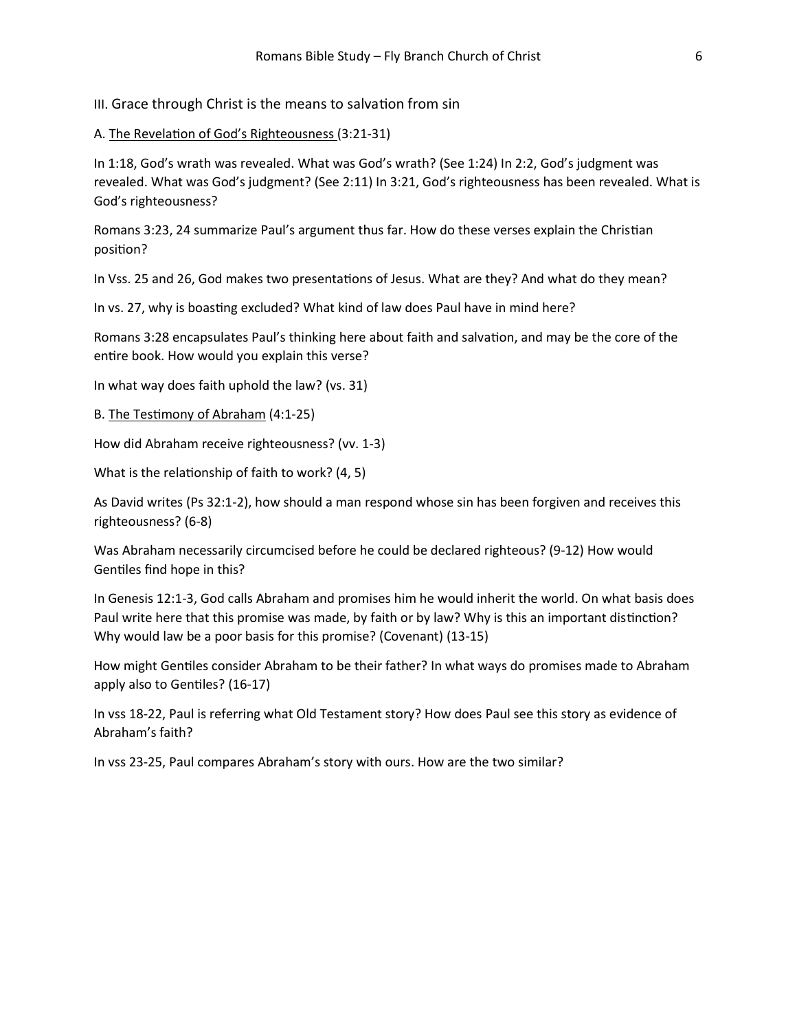III. Grace through Christ is the means to salvation from sin

#### A. The Revelation of God's Righteousness (3:21-31)

In 1:18, God's wrath was revealed. What was God's wrath? (See 1:24) In 2:2, God's judgment was revealed. What was God's judgment? (See 2:11) In 3:21, God's righteousness has been revealed. What is God's righteousness?

Romans 3:23, 24 summarize Paul's argument thus far. How do these verses explain the Christian position?

In Vss. 25 and 26, God makes two presentations of Jesus. What are they? And what do they mean?

In vs. 27, why is boasting excluded? What kind of law does Paul have in mind here?

Romans 3:28 encapsulates Paul's thinking here about faith and salvation, and may be the core of the entire book. How would you explain this verse?

In what way does faith uphold the law? (vs. 31)

B. The Testimony of Abraham (4:1-25)

How did Abraham receive righteousness? (vv. 1-3)

What is the relationship of faith to work?  $(4, 5)$ 

As David writes (Ps 32:1-2), how should a man respond whose sin has been forgiven and receives this righteousness? (6-8)

Was Abraham necessarily circumcised before he could be declared righteous? (9-12) How would Gentiles find hope in this?

In Genesis 12:1-3, God calls Abraham and promises him he would inherit the world. On what basis does Paul write here that this promise was made, by faith or by law? Why is this an important distinction? Why would law be a poor basis for this promise? (Covenant) (13-15)

How might Gentiles consider Abraham to be their father? In what ways do promises made to Abraham apply also to Gentiles? (16-17)

In vss 18-22, Paul is referring what Old Testament story? How does Paul see this story as evidence of Abraham's faith?

In vss 23-25, Paul compares Abraham's story with ours. How are the two similar?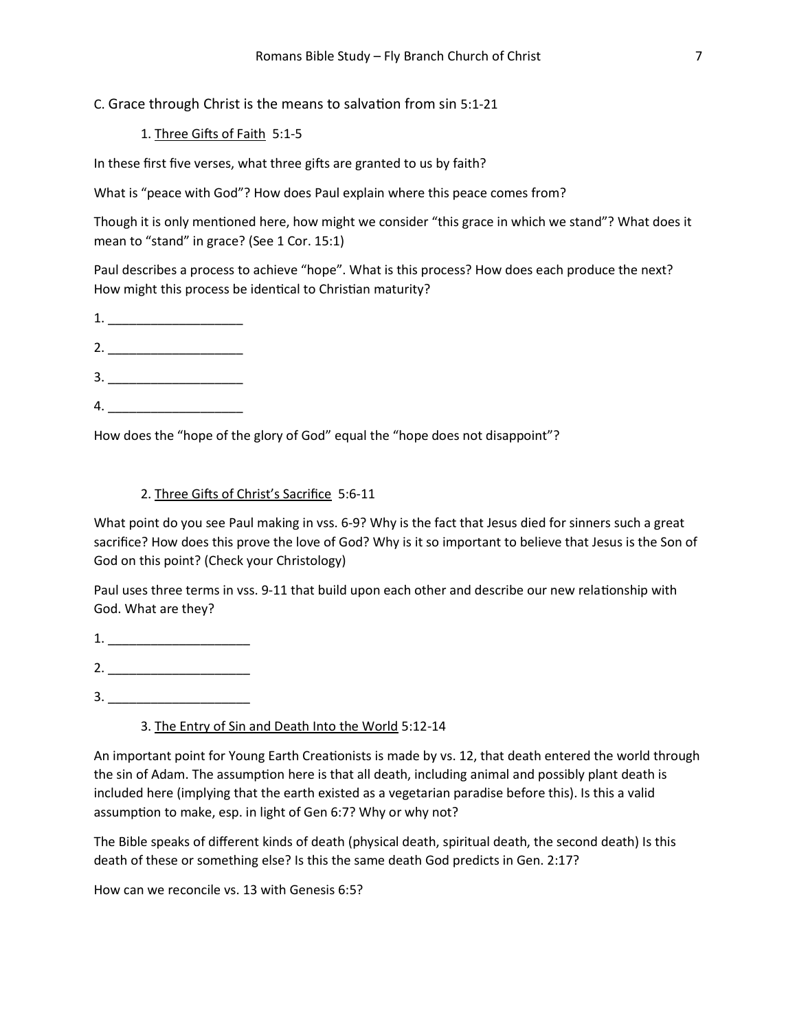C. Grace through Christ is the means to salvation from sin 5:1-21

1. Three Gifts of Faith 5:1-5

In these first five verses, what three gifts are granted to us by faith?

What is "peace with God"? How does Paul explain where this peace comes from?

Though it is only mentioned here, how might we consider "this grace in which we stand"? What does it mean to "stand" in grace? (See 1 Cor. 15:1)

Paul describes a process to achieve "hope". What is this process? How does each produce the next? How might this process be identical to Christian maturity?

- 1. \_\_\_\_\_\_\_\_\_\_\_\_\_\_\_\_\_\_\_
- 2. \_\_\_\_\_\_\_\_\_\_\_\_\_\_\_\_\_\_\_
- 3. \_\_\_\_\_\_\_\_\_\_\_\_\_\_\_\_\_\_\_
- 4. \_\_\_\_\_\_\_\_\_\_\_\_\_\_\_\_\_\_\_

How does the "hope of the glory of God" equal the "hope does not disappoint"?

## 2. Three Gifts of Christ's Sacrifice 5:6-11

What point do you see Paul making in vss. 6-9? Why is the fact that Jesus died for sinners such a great sacrifice? How does this prove the love of God? Why is it so important to believe that Jesus is the Son of God on this point? (Check your Christology)

Paul uses three terms in vss. 9-11 that build upon each other and describe our new relationship with God. What are they?

1. \_\_\_\_\_\_\_\_\_\_\_\_\_\_\_\_\_\_\_\_ 2. \_\_\_\_\_\_\_\_\_\_\_\_\_\_\_\_\_\_\_\_

3. \_\_\_\_\_\_\_\_\_\_\_\_\_\_\_\_\_\_\_\_

3. The Entry of Sin and Death Into the World 5:12-14

An important point for Young Earth Creationists is made by vs. 12, that death entered the world through the sin of Adam. The assumption here is that all death, including animal and possibly plant death is included here (implying that the earth existed as a vegetarian paradise before this). Is this a valid assumption to make, esp. in light of Gen 6:7? Why or why not?

The Bible speaks of different kinds of death (physical death, spiritual death, the second death) Is this death of these or something else? Is this the same death God predicts in Gen. 2:17?

How can we reconcile vs. 13 with Genesis 6:5?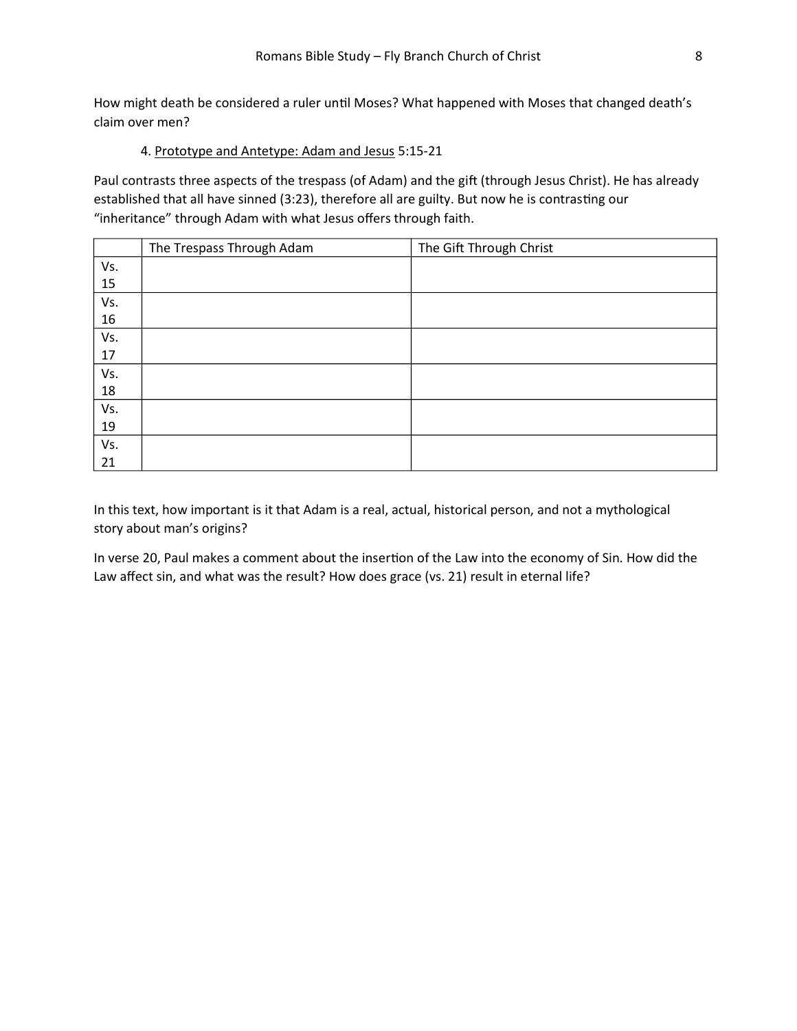How might death be considered a ruler until Moses? What happened with Moses that changed death's claim over men?

#### 4. Prototype and Antetype: Adam and Jesus 5:15-21

Paul contrasts three aspects of the trespass (of Adam) and the gift (through Jesus Christ). He has already established that all have sinned (3:23), therefore all are guilty. But now he is contrasting our "inheritance" through Adam with what Jesus offers through faith.

|     | The Trespass Through Adam | The Gift Through Christ |
|-----|---------------------------|-------------------------|
| Vs. |                           |                         |
| 15  |                           |                         |
| Vs. |                           |                         |
| 16  |                           |                         |
| Vs. |                           |                         |
| 17  |                           |                         |
| Vs. |                           |                         |
| 18  |                           |                         |
| Vs. |                           |                         |
| 19  |                           |                         |
| Vs. |                           |                         |
| 21  |                           |                         |

In this text, how important is it that Adam is a real, actual, historical person, and not a mythological story about man's origins?

In verse 20, Paul makes a comment about the insertion of the Law into the economy of Sin. How did the Law affect sin, and what was the result? How does grace (vs. 21) result in eternal life?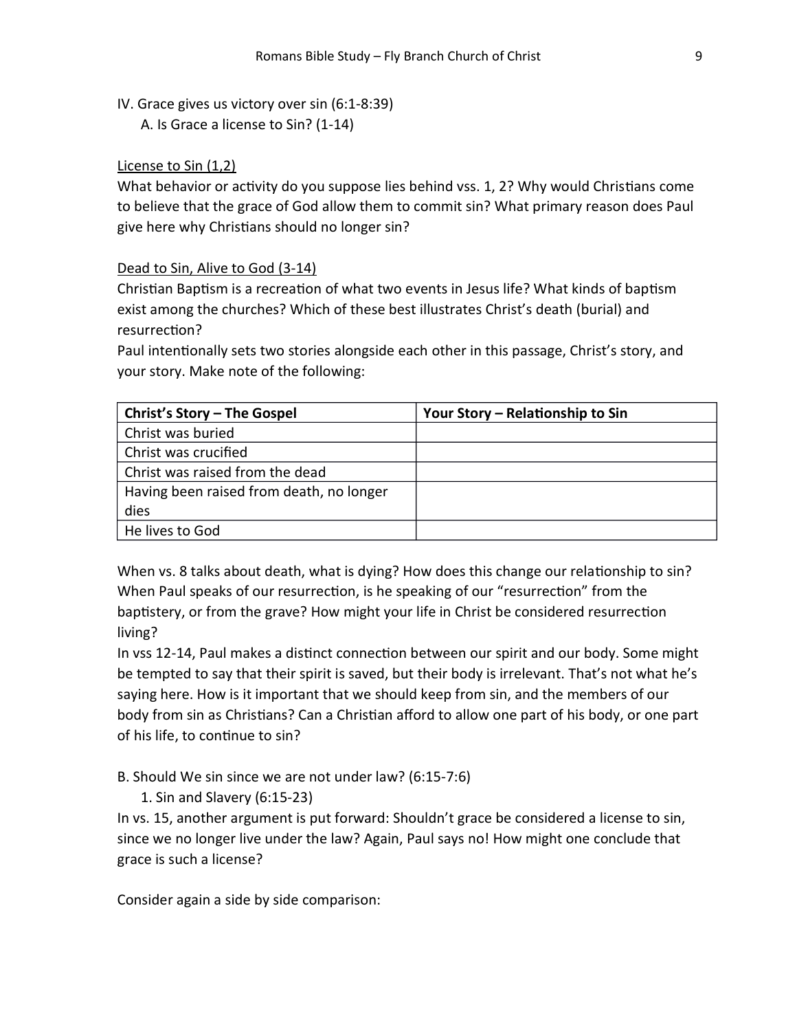IV. Grace gives us victory over sin (6:1-8:39)

A. Is Grace a license to Sin? (1-14)

## License to Sin (1,2)

What behavior or activity do you suppose lies behind vss. 1, 2? Why would Christians come to believe that the grace of God allow them to commit sin? What primary reason does Paul give here why Christians should no longer sin?

## Dead to Sin, Alive to God (3-14)

Christian Baptism is a recreation of what two events in Jesus life? What kinds of baptism exist among the churches? Which of these best illustrates Christ's death (burial) and resurrection?

Paul intentionally sets two stories alongside each other in this passage, Christ's story, and your story. Make note of the following:

| Christ's Story - The Gospel              | Your Story - Relationship to Sin |
|------------------------------------------|----------------------------------|
| Christ was buried                        |                                  |
| Christ was crucified                     |                                  |
| Christ was raised from the dead          |                                  |
| Having been raised from death, no longer |                                  |
| dies                                     |                                  |
| He lives to God                          |                                  |

When vs. 8 talks about death, what is dying? How does this change our relationship to sin? When Paul speaks of our resurrection, is he speaking of our "resurrection" from the baptistery, or from the grave? How might your life in Christ be considered resurrection living?

In vss 12-14, Paul makes a distinct connection between our spirit and our body. Some might be tempted to say that their spirit is saved, but their body is irrelevant. That's not what he's saying here. How is it important that we should keep from sin, and the members of our body from sin as Christians? Can a Christian afford to allow one part of his body, or one part of his life, to continue to sin?

B. Should We sin since we are not under law? (6:15-7:6)

1. Sin and Slavery (6:15-23)

In vs. 15, another argument is put forward: Shouldn't grace be considered a license to sin, since we no longer live under the law? Again, Paul says no! How might one conclude that grace is such a license?

Consider again a side by side comparison: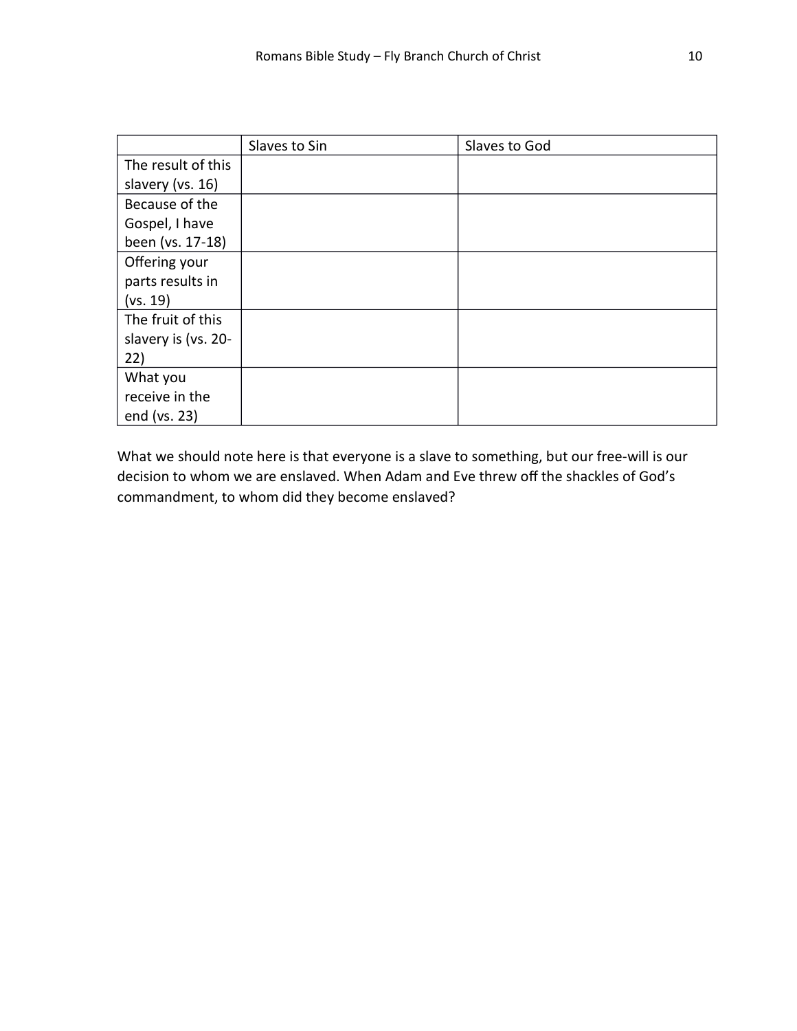|                     | Slaves to Sin | Slaves to God |
|---------------------|---------------|---------------|
| The result of this  |               |               |
| slavery (vs. 16)    |               |               |
| Because of the      |               |               |
| Gospel, I have      |               |               |
| been (vs. 17-18)    |               |               |
| Offering your       |               |               |
| parts results in    |               |               |
| (vs. 19)            |               |               |
| The fruit of this   |               |               |
| slavery is (vs. 20- |               |               |
| 22)                 |               |               |
| What you            |               |               |
| receive in the      |               |               |
| end (vs. 23)        |               |               |

What we should note here is that everyone is a slave to something, but our free-will is our decision to whom we are enslaved. When Adam and Eve threw off the shackles of God's commandment, to whom did they become enslaved?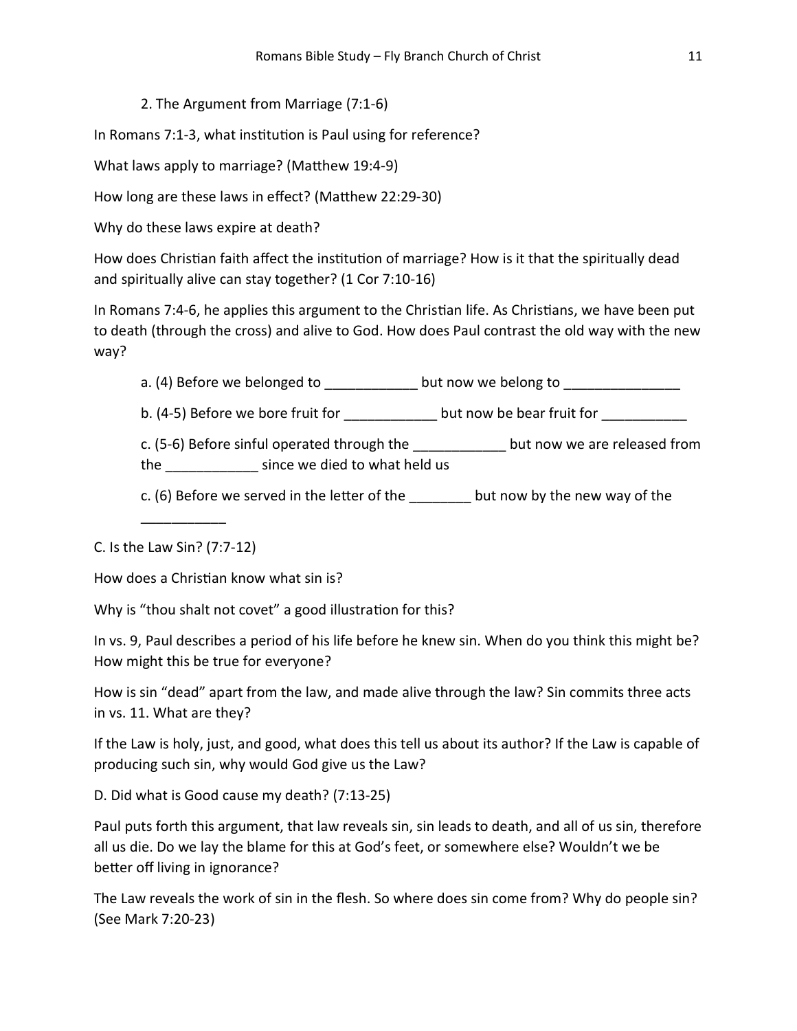## 2. The Argument from Marriage (7:1-6)

In Romans 7:1-3, what institution is Paul using for reference?

What laws apply to marriage? (Matthew 19:4-9)

How long are these laws in effect? (Matthew 22:29-30)

Why do these laws expire at death?

How does Christian faith affect the institution of marriage? How is it that the spiritually dead and spiritually alive can stay together? (1 Cor 7:10-16)

In Romans 7:4-6, he applies this argument to the Christian life. As Christians, we have been put to death (through the cross) and alive to God. How does Paul contrast the old way with the new way?

a. (4) Before we belonged to example to but now we belong to

b. (4-5) Before we bore fruit for \_\_\_\_\_\_\_\_\_\_\_\_\_ but now be bear fruit for \_\_\_\_\_\_\_\_\_\_\_

c. (5-6) Before sinful operated through the but now we are released from the since we died to what held us

c. (6) Before we served in the letter of the but now by the new way of the

C. Is the Law Sin? (7:7-12)

\_\_\_\_\_\_\_\_\_\_\_

How does a Christian know what sin is?

Why is "thou shalt not covet" a good illustration for this?

In vs. 9, Paul describes a period of his life before he knew sin. When do you think this might be? How might this be true for everyone?

How is sin "dead" apart from the law, and made alive through the law? Sin commits three acts in vs. 11. What are they?

If the Law is holy, just, and good, what does this tell us about its author? If the Law is capable of producing such sin, why would God give us the Law?

D. Did what is Good cause my death? (7:13-25)

Paul puts forth this argument, that law reveals sin, sin leads to death, and all of us sin, therefore all us die. Do we lay the blame for this at God's feet, or somewhere else? Wouldn't we be better off living in ignorance?

The Law reveals the work of sin in the flesh. So where does sin come from? Why do people sin? (See Mark 7:20-23)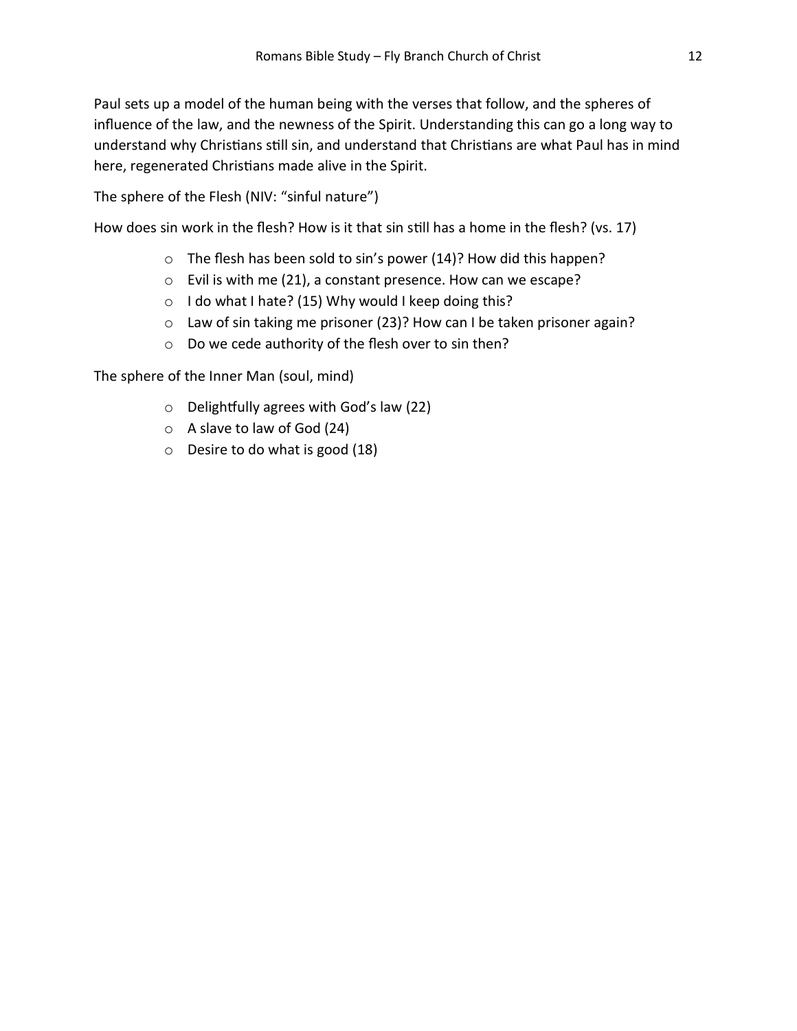Paul sets up a model of the human being with the verses that follow, and the spheres of influence of the law, and the newness of the Spirit. Understanding this can go a long way to understand why Christians still sin, and understand that Christians are what Paul has in mind here, regenerated Christians made alive in the Spirit.

The sphere of the Flesh (NIV: "sinful nature")

How does sin work in the flesh? How is it that sin still has a home in the flesh? (vs. 17)

- o The flesh has been sold to sin's power (14)? How did this happen?
- o Evil is with me (21), a constant presence. How can we escape?
- o I do what I hate? (15) Why would I keep doing this?
- o Law of sin taking me prisoner (23)? How can I be taken prisoner again?
- o Do we cede authority of the flesh over to sin then?

The sphere of the Inner Man (soul, mind)

- o Delightfully agrees with God's law (22)
- o A slave to law of God (24)
- o Desire to do what is good (18)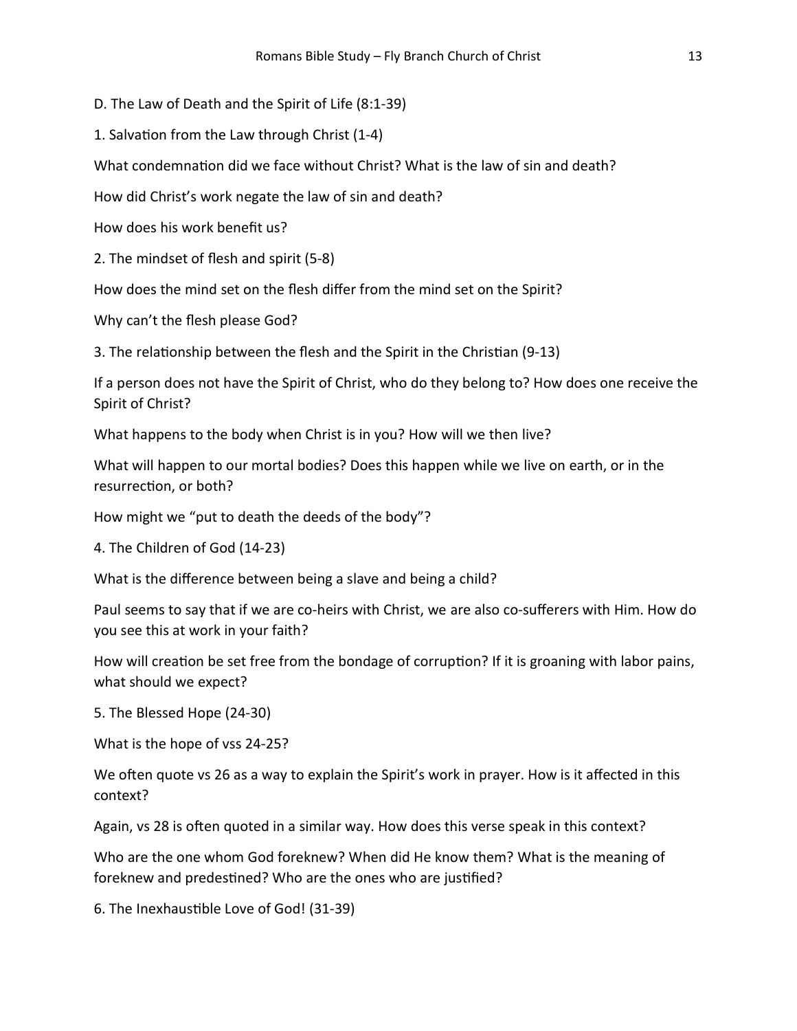D. The Law of Death and the Spirit of Life (8:1-39)

1. Salvation from the Law through Christ (1-4)

What condemnation did we face without Christ? What is the law of sin and death?

How did Christ's work negate the law of sin and death?

How does his work benefit us?

2. The mindset of flesh and spirit (5-8)

How does the mind set on the flesh differ from the mind set on the Spirit?

Why can't the flesh please God?

3. The relationship between the flesh and the Spirit in the Christian (9-13)

If a person does not have the Spirit of Christ, who do they belong to? How does one receive the Spirit of Christ?

What happens to the body when Christ is in you? How will we then live?

What will happen to our mortal bodies? Does this happen while we live on earth, or in the resurrection, or both?

How might we "put to death the deeds of the body"?

4. The Children of God (14-23)

What is the difference between being a slave and being a child?

Paul seems to say that if we are co-heirs with Christ, we are also co-sufferers with Him. How do you see this at work in your faith?

How will creation be set free from the bondage of corruption? If it is groaning with labor pains, what should we expect?

5. The Blessed Hope (24-30)

What is the hope of vss 24-25?

We often quote vs 26 as a way to explain the Spirit's work in prayer. How is it affected in this context?

Again, vs 28 is often quoted in a similar way. How does this verse speak in this context?

Who are the one whom God foreknew? When did He know them? What is the meaning of foreknew and predestined? Who are the ones who are justified?

6. The InexhausƟble Love of God! (31-39)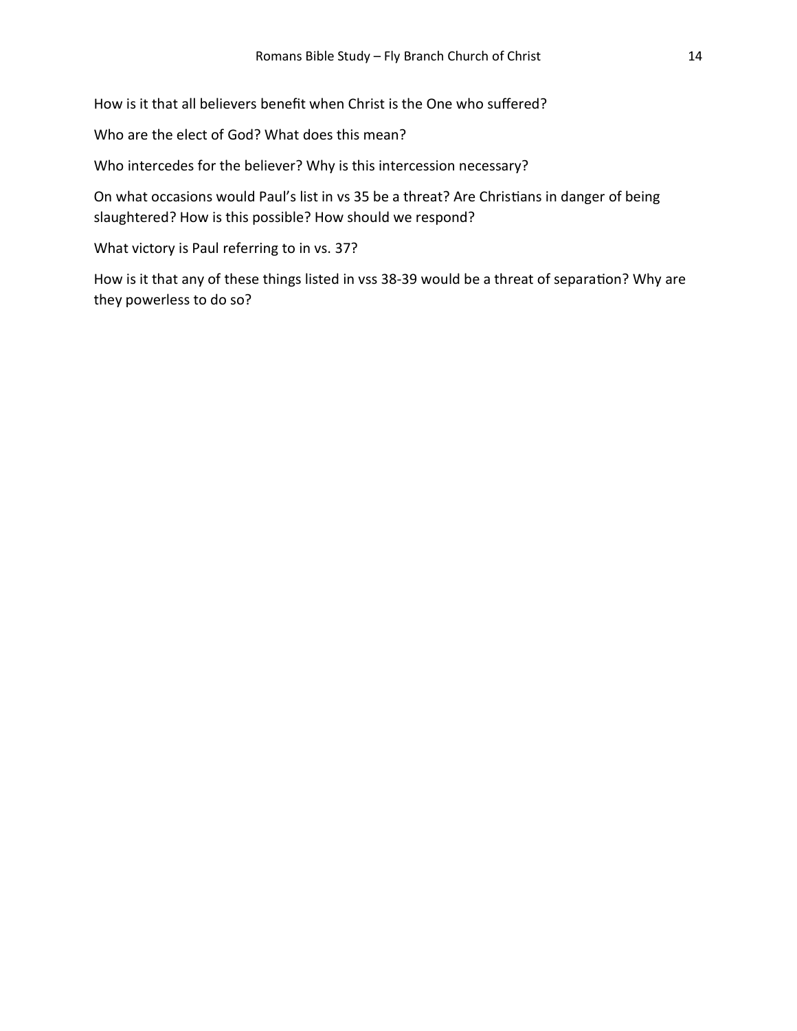How is it that all believers benefit when Christ is the One who suffered?

Who are the elect of God? What does this mean?

Who intercedes for the believer? Why is this intercession necessary?

On what occasions would Paul's list in vs 35 be a threat? Are Christians in danger of being slaughtered? How is this possible? How should we respond?

What victory is Paul referring to in vs. 37?

How is it that any of these things listed in vss 38-39 would be a threat of separation? Why are they powerless to do so?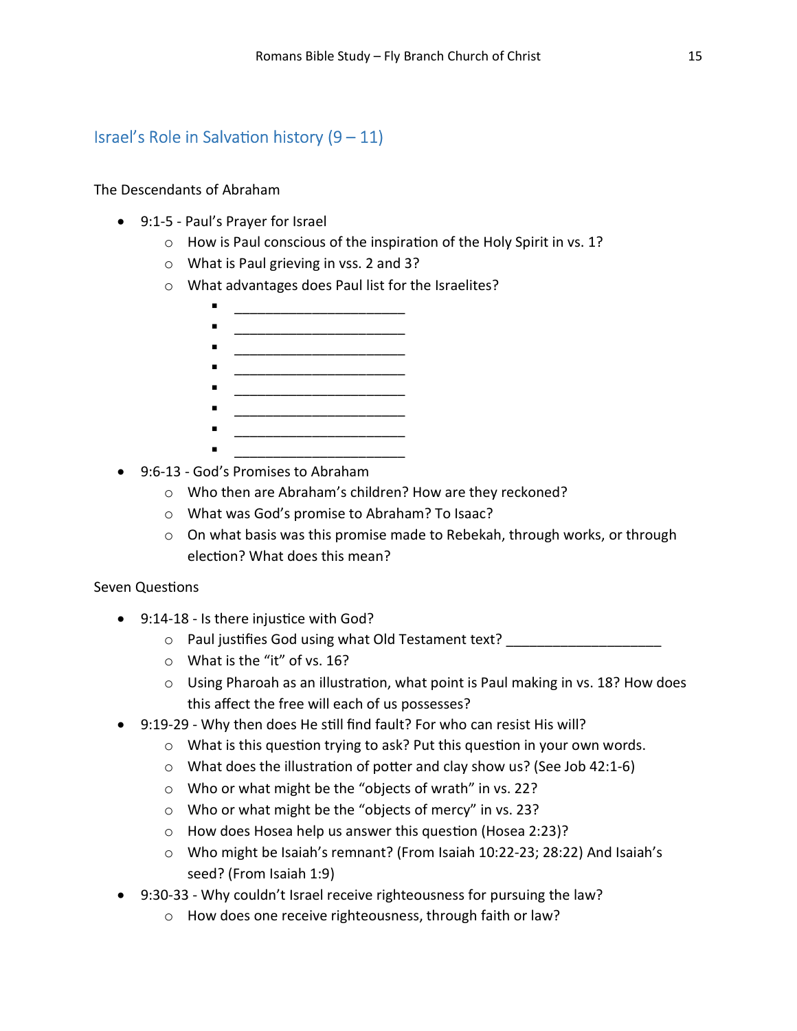## Israel's Role in Salvation history  $(9 - 11)$

The Descendants of Abraham

- 9:1-5 Paul's Prayer for Israel
	- o How is Paul conscious of the inspiration of the Holy Spirit in vs. 1?
	- o What is Paul grieving in vss. 2 and 3?
	- o What advantages does Paul list for the Israelites?
		- \_\_\_\_\_\_\_\_\_\_\_\_\_\_\_\_\_\_\_\_\_\_
		- \_\_\_\_\_\_\_\_\_\_\_\_\_\_\_\_\_\_\_\_\_\_
		- $\overline{\phantom{a}}$  , where  $\overline{\phantom{a}}$  , where  $\overline{\phantom{a}}$  , where  $\overline{\phantom{a}}$  , where  $\overline{\phantom{a}}$
		- $\blacksquare$ \_\_\_\_\_\_\_\_\_\_\_\_\_\_\_\_\_\_\_\_\_\_
		- \_\_\_\_\_\_\_\_\_\_\_\_\_\_\_\_\_\_\_\_\_\_
		- \_\_\_\_\_\_\_\_\_\_\_\_\_\_\_\_\_\_\_\_\_\_ \_\_\_\_\_\_\_\_\_\_\_\_\_\_\_\_\_\_\_\_\_\_
- 9:6-13 God's Promises to Abraham
	- o Who then are Abraham's children? How are they reckoned?
	- o What was God's promise to Abraham? To Isaac?
	- $\circ$  On what basis was this promise made to Rebekah, through works, or through election? What does this mean?

## Seven Questions

- 9:14-18 Is there injustice with God?
	- o Paul justifies God using what Old Testament text?
	- o What is the "it" of vs. 16?
	- $\circ$  Using Pharoah as an illustration, what point is Paul making in vs. 18? How does this affect the free will each of us possesses?
- 9:19-29 Why then does He still find fault? For who can resist His will?
	- $\circ$  What is this question trying to ask? Put this question in your own words.
	- $\circ$  What does the illustration of potter and clay show us? (See Job 42:1-6)
	- o Who or what might be the "objects of wrath" in vs. 22?
	- o Who or what might be the "objects of mercy" in vs. 23?
	- $\circ$  How does Hosea help us answer this question (Hosea 2:23)?
	- o Who might be Isaiah's remnant? (From Isaiah 10:22-23; 28:22) And Isaiah's seed? (From Isaiah 1:9)
- 9:30-33 Why couldn't Israel receive righteousness for pursuing the law?
	- o How does one receive righteousness, through faith or law?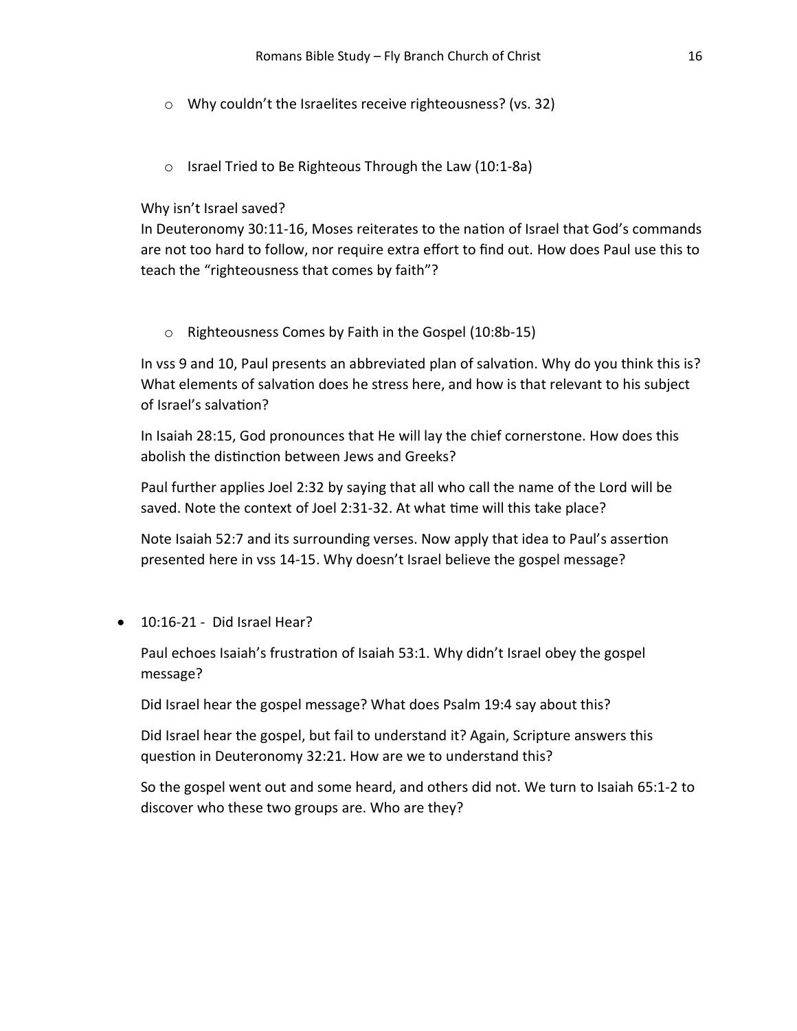- o Why couldn't the Israelites receive righteousness? (vs. 32)
- o Israel Tried to Be Righteous Through the Law (10:1-8a)

#### Why isn't Israel saved?

In Deuteronomy 30:11-16, Moses reiterates to the nation of Israel that God's commands are not too hard to follow, nor require extra effort to find out. How does Paul use this to teach the "righteousness that comes by faith"?

o Righteousness Comes by Faith in the Gospel (10:8b-15)

In vss 9 and 10, Paul presents an abbreviated plan of salvation. Why do you think this is? What elements of salvation does he stress here, and how is that relevant to his subject of Israel's salvation?

In Isaiah 28:15, God pronounces that He will lay the chief cornerstone. How does this abolish the distinction between Jews and Greeks?

Paul further applies Joel 2:32 by saying that all who call the name of the Lord will be saved. Note the context of Joel 2:31-32. At what time will this take place?

Note Isaiah 52:7 and its surrounding verses. Now apply that idea to Paul's assertion presented here in vss 14-15. Why doesn't Israel believe the gospel message?

10:16-21 - Did Israel Hear?

Paul echoes Isaiah's frustration of Isaiah 53:1. Why didn't Israel obey the gospel message?

Did Israel hear the gospel message? What does Psalm 19:4 say about this?

Did Israel hear the gospel, but fail to understand it? Again, Scripture answers this question in Deuteronomy 32:21. How are we to understand this?

So the gospel went out and some heard, and others did not. We turn to Isaiah 65:1-2 to discover who these two groups are. Who are they?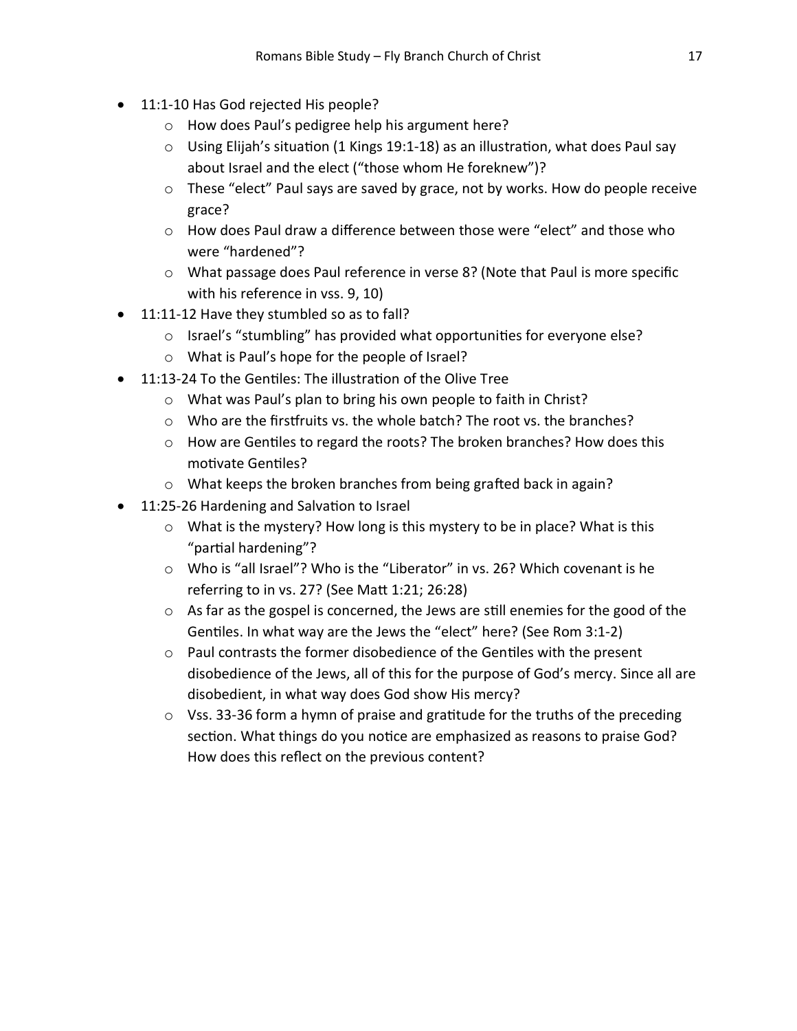- $\bullet$  11:1-10 Has God rejected His people?
	- o How does Paul's pedigree help his argument here?
	- $\circ$  Using Elijah's situation (1 Kings 19:1-18) as an illustration, what does Paul say about Israel and the elect ("those whom He foreknew")?
	- $\circ$  These "elect" Paul says are saved by grace, not by works. How do people receive grace?
	- o How does Paul draw a difference between those were "elect" and those who were "hardened"?
	- $\circ$  What passage does Paul reference in verse 8? (Note that Paul is more specific with his reference in vss. 9, 10)
- 11:11-12 Have they stumbled so as to fall?
	- o Israel's "stumbling" has provided what opportunities for everyone else?
	- o What is Paul's hope for the people of Israel?
- 11:13-24 To the Gentiles: The illustration of the Olive Tree
	- o What was Paul's plan to bring his own people to faith in Christ?
	- $\circ$  Who are the first fruits vs. the whole batch? The root vs. the branches?
	- $\circ$  How are Gentiles to regard the roots? The broken branches? How does this motivate Gentiles?
	- $\circ$  What keeps the broken branches from being grafted back in again?
- 11:25-26 Hardening and Salvation to Israel
	- $\circ$  What is the mystery? How long is this mystery to be in place? What is this "partial hardening"?
	- o Who is "all Israel"? Who is the "Liberator" in vs. 26? Which covenant is he referring to in vs. 27? (See MaƩ 1:21; 26:28)
	- $\circ$  As far as the gospel is concerned, the Jews are still enemies for the good of the Gentiles. In what way are the Jews the "elect" here? (See Rom 3:1-2)
	- $\circ$  Paul contrasts the former disobedience of the Gentiles with the present disobedience of the Jews, all of this for the purpose of God's mercy. Since all are disobedient, in what way does God show His mercy?
	- $\circ$  Vss. 33-36 form a hymn of praise and gratitude for the truths of the preceding section. What things do you notice are emphasized as reasons to praise God? How does this reflect on the previous content?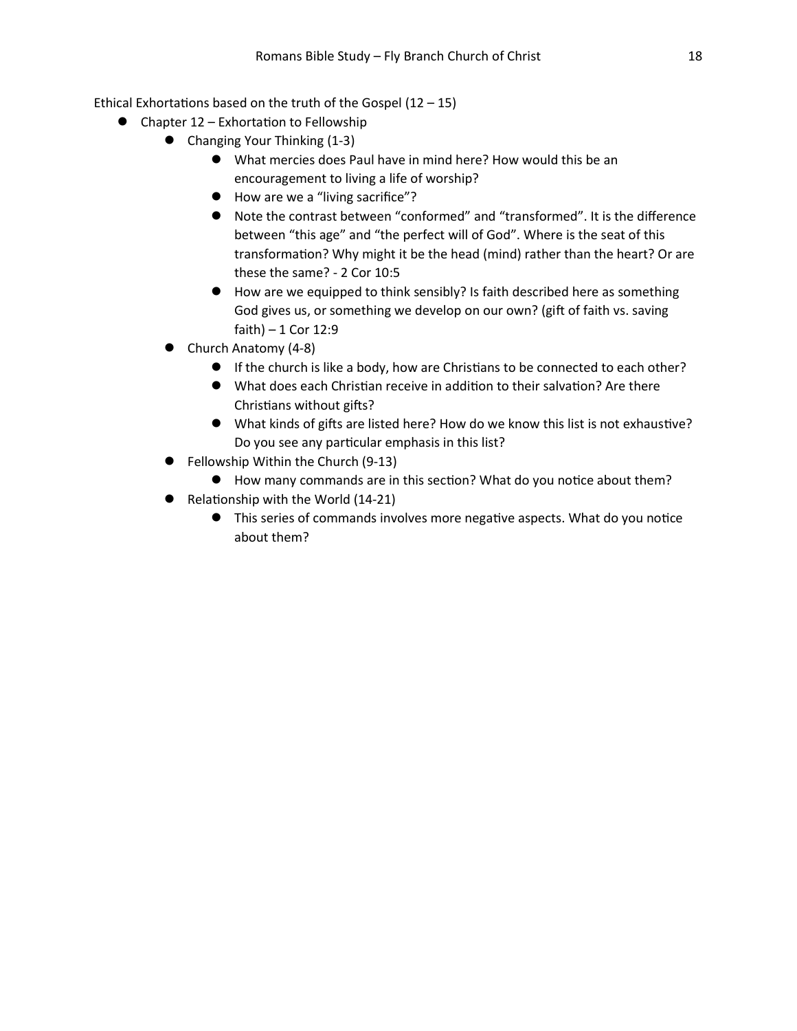Ethical Exhortations based on the truth of the Gospel  $(12 - 15)$ 

- $\bullet$  Chapter 12 Exhortation to Fellowship
	- Changing Your Thinking (1-3)
		- What mercies does Paul have in mind here? How would this be an encouragement to living a life of worship?
		- How are we a "living sacrifice"?
		- Note the contrast between "conformed" and "transformed". It is the difference between "this age" and "the perfect will of God". Where is the seat of this transformation? Why might it be the head (mind) rather than the heart? Or are these the same? - 2 Cor 10:5
		- How are we equipped to think sensibly? Is faith described here as something God gives us, or something we develop on our own? (gift of faith vs. saving faith)  $-1$  Cor 12:9
	- Church Anatomy (4-8)
		- If the church is like a body, how are Christians to be connected to each other?
		- What does each Christian receive in addition to their salvation? Are there Christians without gifts?
		- What kinds of gifts are listed here? How do we know this list is not exhaustive? Do you see any particular emphasis in this list?
	- Fellowship Within the Church (9-13)
		- How many commands are in this section? What do you notice about them?
	- $\bullet$  Relationship with the World (14-21)
		- This series of commands involves more negative aspects. What do you notice about them?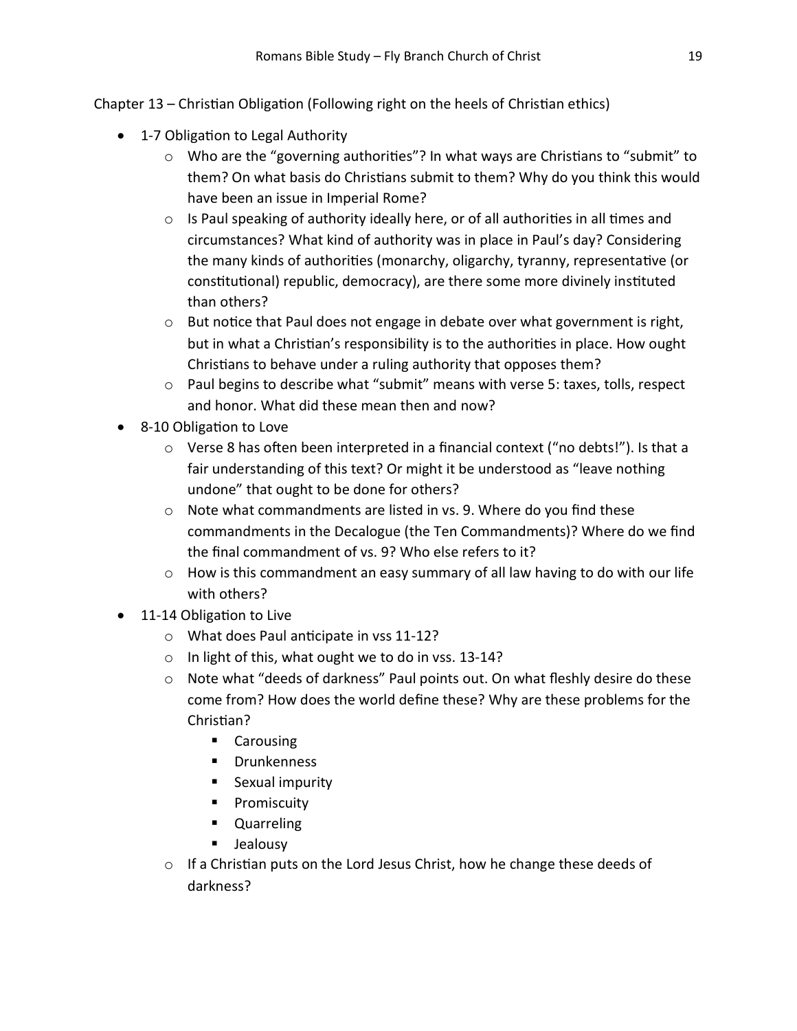Chapter 13 – Christian Obligation (Following right on the heels of Christian ethics)

- 1-7 Obligation to Legal Authority
	- $\circ$  Who are the "governing authorities"? In what ways are Christians to "submit" to them? On what basis do Christians submit to them? Why do you think this would have been an issue in Imperial Rome?
	- $\circ$  Is Paul speaking of authority ideally here, or of all authorities in all times and circumstances? What kind of authority was in place in Paul's day? Considering the many kinds of authorities (monarchy, oligarchy, tyranny, representative (or constitutional) republic, democracy), are there some more divinely instituted than others?
	- $\circ$  But notice that Paul does not engage in debate over what government is right, but in what a Christian's responsibility is to the authorities in place. How ought Christians to behave under a ruling authority that opposes them?
	- $\circ$  Paul begins to describe what "submit" means with verse 5: taxes, tolls, respect and honor. What did these mean then and now?
- 8-10 Obligation to Love
	- $\circ$  Verse 8 has often been interpreted in a financial context ("no debts!"). Is that a fair understanding of this text? Or might it be understood as "leave nothing undone" that ought to be done for others?
	- $\circ$  Note what commandments are listed in vs. 9. Where do you find these commandments in the Decalogue (the Ten Commandments)? Where do we find the final commandment of vs. 9? Who else refers to it?
	- o How is this commandment an easy summary of all law having to do with our life with others?
- 11-14 Obligation to Live
	- $\circ$  What does Paul anticipate in vss 11-12?
	- o In light of this, what ought we to do in vss. 13-14?
	- o Note what "deeds of darkness" Paul points out. On what fleshly desire do these come from? How does the world define these? Why are these problems for the Christian?
		- **Carousing**
		- **Drunkenness**
		- **Sexual impurity**
		- **Promiscuity**
		- **Quarreling**
		- **Jealousy**
	- $\circ$  If a Christian puts on the Lord Jesus Christ, how he change these deeds of darkness?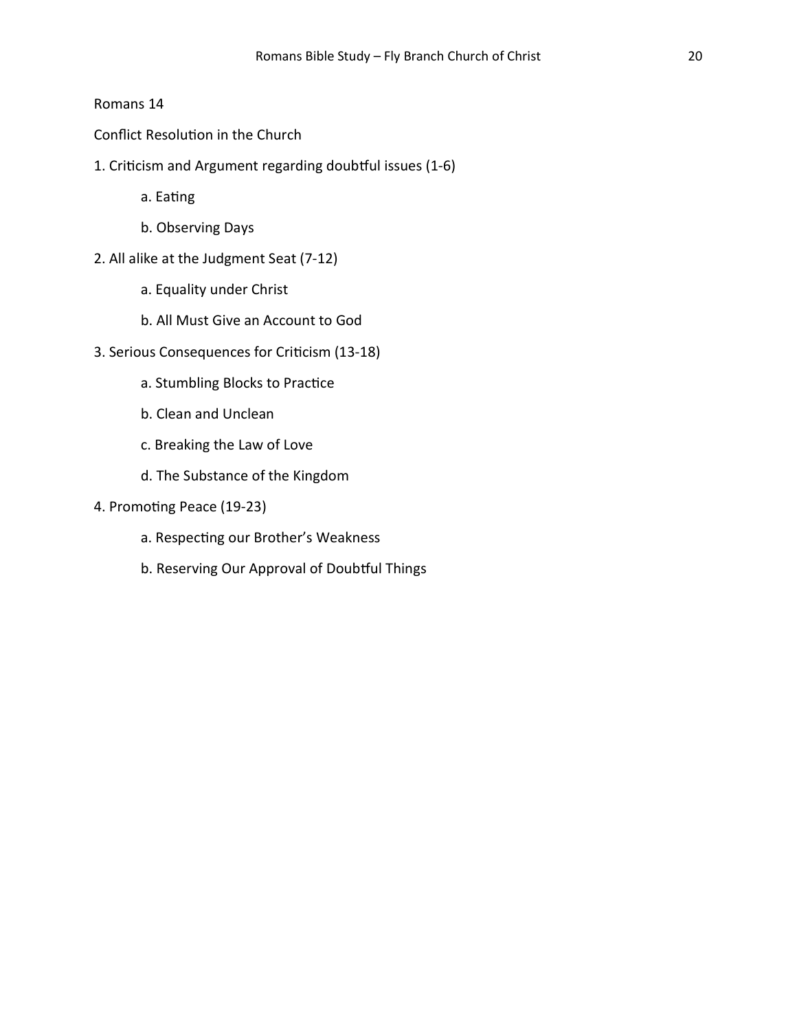## Romans 14

Conflict Resolution in the Church

1. Criticism and Argument regarding doubtful issues (1-6)

a. Eating

- b. Observing Days
- 2. All alike at the Judgment Seat (7-12)
	- a. Equality under Christ
	- b. All Must Give an Account to God
- 3. Serious Consequences for Criticism (13-18)
	- a. Stumbling Blocks to Practice
	- b. Clean and Unclean
	- c. Breaking the Law of Love
	- d. The Substance of the Kingdom
- 4. Promoting Peace (19-23)
	- a. Respecting our Brother's Weakness
	- b. Reserving Our Approval of Doubtful Things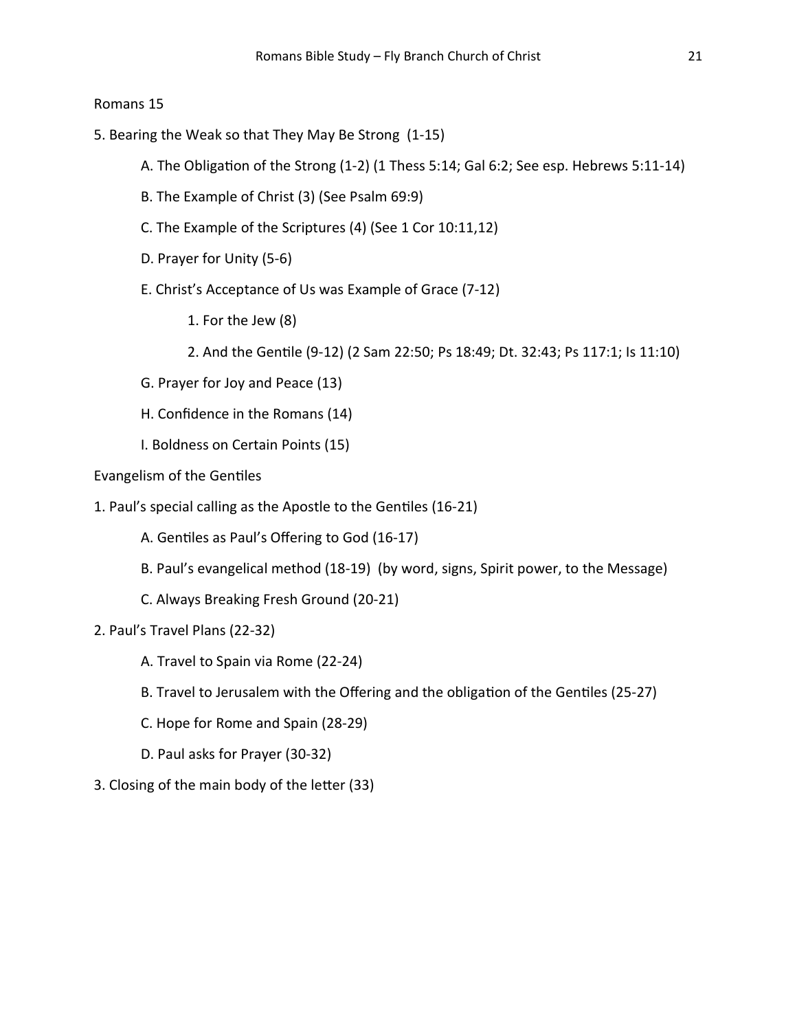#### Romans 15

- 5. Bearing the Weak so that They May Be Strong (1-15)
	- A. The Obligation of the Strong (1-2) (1 Thess 5:14; Gal 6:2; See esp. Hebrews 5:11-14)
	- B. The Example of Christ (3) (See Psalm 69:9)
	- C. The Example of the Scriptures (4) (See 1 Cor 10:11,12)
	- D. Prayer for Unity (5-6)
	- E. Christ's Acceptance of Us was Example of Grace (7-12)
		- 1. For the Jew (8)
		- 2. And the GenƟle (9-12) (2 Sam 22:50; Ps 18:49; Dt. 32:43; Ps 117:1; Is 11:10)
	- G. Prayer for Joy and Peace (13)
	- H. Confidence in the Romans (14)
	- I. Boldness on Certain Points (15)
- Evangelism of the Gentiles
- 1. Paul's special calling as the Apostle to the Gentiles (16-21)
	- A. Gentiles as Paul's Offering to God (16-17)
	- B. Paul's evangelical method (18-19) (by word, signs, Spirit power, to the Message)
	- C. Always Breaking Fresh Ground (20-21)
- 2. Paul's Travel Plans (22-32)
	- A. Travel to Spain via Rome (22-24)
	- B. Travel to Jerusalem with the Offering and the obligation of the Gentiles (25-27)
	- C. Hope for Rome and Spain (28-29)
	- D. Paul asks for Prayer (30-32)
- 3. Closing of the main body of the letter (33)